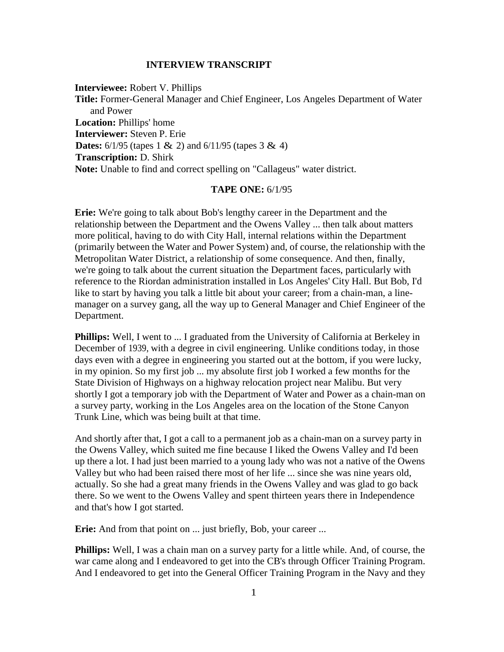## **INTERVIEW TRANSCRIPT**

**Interviewee:** Robert V. Phillips **Title:** Former-General Manager and Chief Engineer, Los Angeles Department of Water and Power **Location:** Phillips' home **Interviewer:** Steven P. Erie **Dates:**  $6/1/95$  (tapes 1 & 2) and  $6/11/95$  (tapes 3 & 4) **Transcription:** D. Shirk **Note:** Unable to find and correct spelling on "Callageus" water district.

## **TAPE ONE:** 6/1/95

**Erie:** We're going to talk about Bob's lengthy career in the Department and the relationship between the Department and the Owens Valley ... then talk about matters more political, having to do with City Hall, internal relations within the Department (primarily between the Water and Power System) and, of course, the relationship with the Metropolitan Water District, a relationship of some consequence. And then, finally, we're going to talk about the current situation the Department faces, particularly with reference to the Riordan administration installed in Los Angeles' City Hall. But Bob, I'd like to start by having you talk a little bit about your career; from a chain-man, a linemanager on a survey gang, all the way up to General Manager and Chief Engineer of the Department.

**Phillips:** Well, I went to ... I graduated from the University of California at Berkeley in December of 1939, with a degree in civil engineering. Unlike conditions today, in those days even with a degree in engineering you started out at the bottom, if you were lucky, in my opinion. So my first job ... my absolute first job I worked a few months for the State Division of Highways on a highway relocation project near Malibu. But very shortly I got a temporary job with the Department of Water and Power as a chain-man on a survey party, working in the Los Angeles area on the location of the Stone Canyon Trunk Line, which was being built at that time.

And shortly after that, I got a call to a permanent job as a chain-man on a survey party in the Owens Valley, which suited me fine because I liked the Owens Valley and I'd been up there a lot. I had just been married to a young lady who was not a native of the Owens Valley but who had been raised there most of her life ... since she was nine years old, actually. So she had a great many friends in the Owens Valley and was glad to go back there. So we went to the Owens Valley and spent thirteen years there in Independence and that's how I got started.

**Erie:** And from that point on ... just briefly, Bob, your career ...

**Phillips:** Well, I was a chain man on a survey party for a little while. And, of course, the war came along and I endeavored to get into the CB's through Officer Training Program. And I endeavored to get into the General Officer Training Program in the Navy and they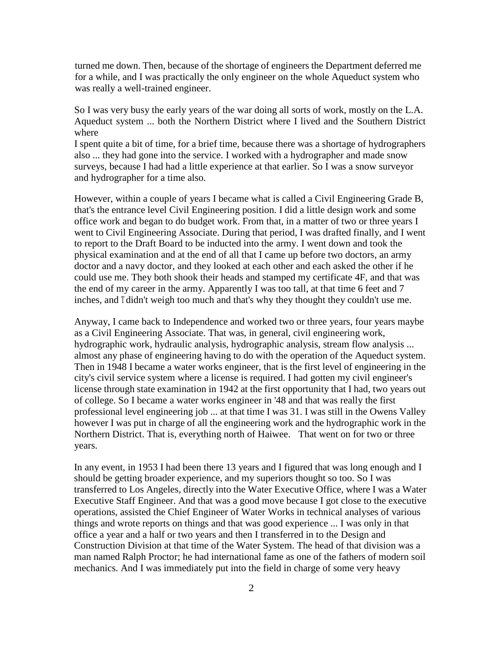turned me down. Then, because of the shortage of engineers the Department deferred me for a while, and I was practically the only engineer on the whole Aqueduct system who was really a well-trained engineer.

So I was very busy the early years of the war doing all sorts of work, mostly on the L.A. Aqueduct system ... both the Northern District where I lived and the Southern District where

I spent quite a bit of time, for a brief time, because there was a shortage of hydrographers also ... they had gone into the service. I worked with a hydrographer and made snow surveys, because I had had a little experience at that earlier. So I was a snow surveyor and hydrographer for a time also.

However, within a couple of years I became what is called a Civil Engineering Grade B, that's the entrance level Civil Engineering position. I did a little design work and some office work and began to do budget work. From that, in a matter of two or three years I went to Civil Engineering Associate. During that period, I was drafted finally, and I went to report to the Draft Board to be inducted into the army. I went down and took the physical examination and at the end of all that I came up before two doctors, an army doctor and a navy doctor, and they looked at each other and each asked the other if he could use me. They both shook their heads and stamped my certificate 4F, and that was the end of my career in the army. Apparently I was too tall, at that time 6 feet and 7 inches, and T didn't weigh too much and that's why they thought they couldn't use me.

Anyway, I came back to Independence and worked two or three years, four years maybe as a Civil Engineering Associate. That was, in general, civil engineering work, hydrographic work, hydraulic analysis, hydrographic analysis, stream flow analysis ... almost any phase of engineering having to do with the operation of the Aqueduct system. Then in 1948 I became a water works engineer, that is the first level of engineering in the city's civil service system where a license is required. I had gotten my civil engineer's license through state examination in 1942 at the first opportunity that I had, two years out of college. So I became a water works engineer in '48 and that was really the first professional level engineering job ... at that time I was 31. I was still in the Owens Valley however I was put in charge of all the engineering work and the hydrographic work in the Northern District. That is, everything north of Haiwee. That went on for two or three years.

In any event, in 1953 I had been there 13 years and I figured that was long enough and I should be getting broader experience, and my superiors thought so too. So I was transferred to Los Angeles, directly into the Water Executive Office, where I was a Water Executive Staff Engineer. And that was a good move because I got close to the executive operations, assisted the Chief Engineer of Water Works in technical analyses of various things and wrote reports on things and that was good experience ... I was only in that office a year and a half or two years and then I transferred in to the Design and Construction Division at that time of the Water System. The head of that division was a man named Ralph Proctor; he had international fame as one of the fathers of modern soil mechanics. And I was immediately put into the field in charge of some very heavy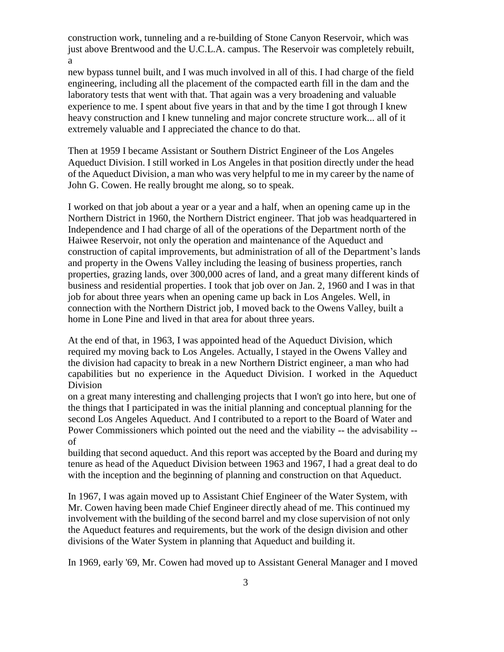construction work, tunneling and a re-building of Stone Canyon Reservoir, which was just above Brentwood and the U.C.L.A. campus. The Reservoir was completely rebuilt, a

new bypass tunnel built, and I was much involved in all of this. I had charge of the field engineering, including all the placement of the compacted earth fill in the dam and the laboratory tests that went with that. That again was a very broadening and valuable experience to me. I spent about five years in that and by the time I got through I knew heavy construction and I knew tunneling and major concrete structure work... all of it extremely valuable and I appreciated the chance to do that.

Then at 1959 I became Assistant or Southern District Engineer of the Los Angeles Aqueduct Division. I still worked in Los Angeles in that position directly under the head of the Aqueduct Division, a man who was very helpful to me in my career by the name of John G. Cowen. He really brought me along, so to speak.

I worked on that job about a year or a year and a half, when an opening came up in the Northern District in 1960, the Northern District engineer. That job was headquartered in Independence and I had charge of all of the operations of the Department north of the Haiwee Reservoir, not only the operation and maintenance of the Aqueduct and construction of capital improvements, but administration of all of the Department's lands and property in the Owens Valley including the leasing of business properties, ranch properties, grazing lands, over 300,000 acres of land, and a great many different kinds of business and residential properties. I took that job over on Jan. 2, 1960 and I was in that job for about three years when an opening came up back in Los Angeles. Well, in connection with the Northern District job, I moved back to the Owens Valley, built a home in Lone Pine and lived in that area for about three years.

At the end of that, in 1963, I was appointed head of the Aqueduct Division, which required my moving back to Los Angeles. Actually, I stayed in the Owens Valley and the division had capacity to break in a new Northern District engineer, a man who had capabilities but no experience in the Aqueduct Division. I worked in the Aqueduct Division

on a great many interesting and challenging projects that I won't go into here, but one of the things that I participated in was the initial planning and conceptual planning for the second Los Angeles Aqueduct. And I contributed to a report to the Board of Water and Power Commissioners which pointed out the need and the viability -- the advisability - of

building that second aqueduct. And this report was accepted by the Board and during my tenure as head of the Aqueduct Division between 1963 and 1967, I had a great deal to do with the inception and the beginning of planning and construction on that Aqueduct.

In 1967, I was again moved up to Assistant Chief Engineer of the Water System, with Mr. Cowen having been made Chief Engineer directly ahead of me. This continued my involvement with the building of the second barrel and my close supervision of not only the Aqueduct features and requirements, but the work of the design division and other divisions of the Water System in planning that Aqueduct and building it.

In 1969, early '69, Mr. Cowen had moved up to Assistant General Manager and I moved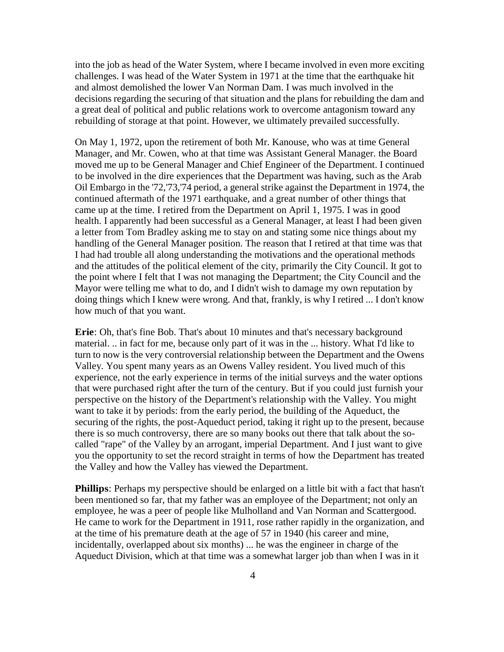into the job as head of the Water System, where I became involved in even more exciting challenges. I was head of the Water System in 1971 at the time that the earthquake hit and almost demolished the lower Van Norman Dam. I was much involved in the decisions regarding the securing of that situation and the plans for rebuilding the dam and a great deal of political and public relations work to overcome antagonism toward any rebuilding of storage at that point. However, we ultimately prevailed successfully.

On May 1, 1972, upon the retirement of both Mr. Kanouse, who was at time General Manager, and Mr. Cowen, who at that time was Assistant General Manager. the Board moved me up to be General Manager and Chief Engineer of the Department. I continued to be involved in the dire experiences that the Department was having, such as the Arab Oil Embargo in the '72,'73,'74 period, a general strike against the Department in 1974, the continued aftermath of the 1971 earthquake, and a great number of other things that came up at the time. I retired from the Department on April 1, 1975. I was in good health. I apparently had been successful as a General Manager, at least I had been given a letter from Tom Bradley asking me to stay on and stating some nice things about my handling of the General Manager position. The reason that I retired at that time was that I had had trouble all along understanding the motivations and the operational methods and the attitudes of the political element of the city, primarily the City Council. It got to the point where I felt that I was not managing the Department; the City Council and the Mayor were telling me what to do, and I didn't wish to damage my own reputation by doing things which I knew were wrong. And that, frankly, is why I retired ... I don't know how much of that you want.

**Erie**: Oh, that's fine Bob. That's about 10 minutes and that's necessary background material. .. in fact for me, because only part of it was in the ... history. What I'd like to turn to now is the very controversial relationship between the Department and the Owens Valley. You spent many years as an Owens Valley resident. You lived much of this experience, not the early experience in terms of the initial surveys and the water options that were purchased right after the turn of the century. But if you could just furnish your perspective on the history of the Department's relationship with the Valley. You might want to take it by periods: from the early period, the building of the Aqueduct, the securing of the rights, the post-Aqueduct period, taking it right up to the present, because there is so much controversy, there are so many books out there that talk about the socalled "rape" of the Valley by an arrogant, imperial Department. And I just want to give you the opportunity to set the record straight in terms of how the Department has treated the Valley and how the Valley has viewed the Department.

**Phillips**: Perhaps my perspective should be enlarged on a little bit with a fact that hasn't been mentioned so far, that my father was an employee of the Department; not only an employee, he was a peer of people like Mulholland and Van Norman and Scattergood. He came to work for the Department in 1911, rose rather rapidly in the organization, and at the time of his premature death at the age of 57 in 1940 (his career and mine, incidentally, overlapped about six months) ... he was the engineer in charge of the Aqueduct Division, which at that time was a somewhat larger job than when I was in it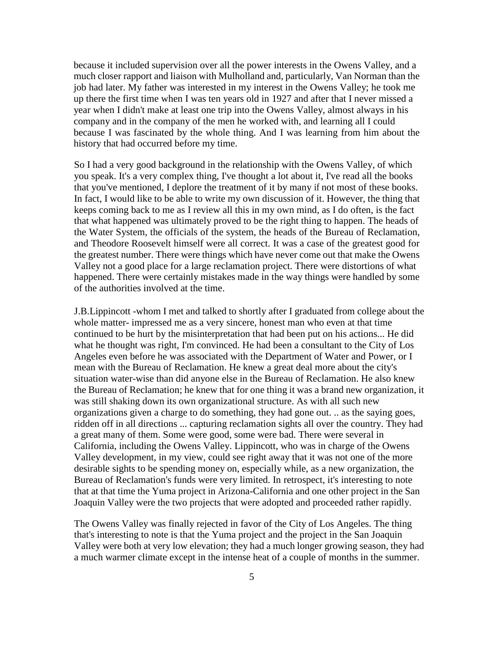because it included supervision over all the power interests in the Owens Valley, and a much closer rapport and liaison with Mulholland and, particularly, Van Norman than the job had later. My father was interested in my interest in the Owens Valley; he took me up there the first time when I was ten years old in 1927 and after that I never missed a year when I didn't make at least one trip into the Owens Valley, almost always in his company and in the company of the men he worked with, and learning all I could because I was fascinated by the whole thing. And I was learning from him about the history that had occurred before my time.

So I had a very good background in the relationship with the Owens Valley, of which you speak. It's a very complex thing, I've thought a lot about it, I've read all the books that you've mentioned, I deplore the treatment of it by many if not most of these books. In fact, I would like to be able to write my own discussion of it. However, the thing that keeps coming back to me as I review all this in my own mind, as I do often, is the fact that what happened was ultimately proved to be the right thing to happen. The heads of the Water System, the officials of the system, the heads of the Bureau of Reclamation, and Theodore Roosevelt himself were all correct. It was a case of the greatest good for the greatest number. There were things which have never come out that make the Owens Valley not a good place for a large reclamation project. There were distortions of what happened. There were certainly mistakes made in the way things were handled by some of the authorities involved at the time.

J.B.Lippincott -whom I met and talked to shortly after I graduated from college about the whole matter- impressed me as a very sincere, honest man who even at that time continued to be hurt by the misinterpretation that had been put on his actions... He did what he thought was right, I'm convinced. He had been a consultant to the City of Los Angeles even before he was associated with the Department of Water and Power, or I mean with the Bureau of Reclamation. He knew a great deal more about the city's situation water-wise than did anyone else in the Bureau of Reclamation. He also knew the Bureau of Reclamation; he knew that for one thing it was a brand new organization, it was still shaking down its own organizational structure. As with all such new organizations given a charge to do something, they had gone out. .. as the saying goes, ridden off in all directions ... capturing reclamation sights all over the country. They had a great many of them. Some were good, some were bad. There were several in California, including the Owens Valley. Lippincott, who was in charge of the Owens Valley development, in my view, could see right away that it was not one of the more desirable sights to be spending money on, especially while, as a new organization, the Bureau of Reclamation's funds were very limited. In retrospect, it's interesting to note that at that time the Yuma project in Arizona-California and one other project in the San Joaquin Valley were the two projects that were adopted and proceeded rather rapidly.

The Owens Valley was finally rejected in favor of the City of Los Angeles. The thing that's interesting to note is that the Yuma project and the project in the San Joaquin Valley were both at very low elevation; they had a much longer growing season, they had a much warmer climate except in the intense heat of a couple of months in the summer.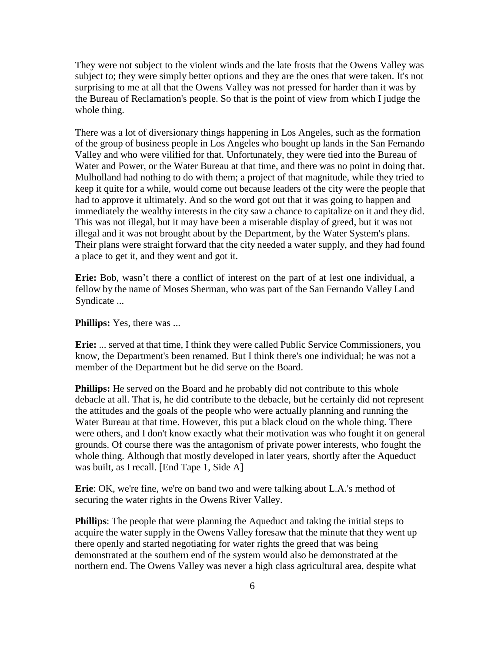They were not subject to the violent winds and the late frosts that the Owens Valley was subject to; they were simply better options and they are the ones that were taken. It's not surprising to me at all that the Owens Valley was not pressed for harder than it was by the Bureau of Reclamation's people. So that is the point of view from which I judge the whole thing.

There was a lot of diversionary things happening in Los Angeles, such as the formation of the group of business people in Los Angeles who bought up lands in the San Fernando Valley and who were vilified for that. Unfortunately, they were tied into the Bureau of Water and Power, or the Water Bureau at that time, and there was no point in doing that. Mulholland had nothing to do with them; a project of that magnitude, while they tried to keep it quite for a while, would come out because leaders of the city were the people that had to approve it ultimately. And so the word got out that it was going to happen and immediately the wealthy interests in the city saw a chance to capitalize on it and they did. This was not illegal, but it may have been a miserable display of greed, but it was not illegal and it was not brought about by the Department, by the Water System's plans. Their plans were straight forward that the city needed a water supply, and they had found a place to get it, and they went and got it.

**Erie:** Bob, wasn't there a conflict of interest on the part of at lest one individual, a fellow by the name of Moses Sherman, who was part of the San Fernando Valley Land Syndicate ...

**Phillips:** Yes, there was ...

**Erie:** ... served at that time, I think they were called Public Service Commissioners, you know, the Department's been renamed. But I think there's one individual; he was not a member of the Department but he did serve on the Board.

**Phillips:** He served on the Board and he probably did not contribute to this whole debacle at all. That is, he did contribute to the debacle, but he certainly did not represent the attitudes and the goals of the people who were actually planning and running the Water Bureau at that time. However, this put a black cloud on the whole thing. There were others, and I don't know exactly what their motivation was who fought it on general grounds. Of course there was the antagonism of private power interests, who fought the whole thing. Although that mostly developed in later years, shortly after the Aqueduct was built, as I recall. [End Tape 1, Side A]

**Erie**: OK, we're fine, we're on band two and were talking about L.A.'s method of securing the water rights in the Owens River Valley.

**Phillips**: The people that were planning the Aqueduct and taking the initial steps to acquire the water supply in the Owens Valley foresaw that the minute that they went up there openly and started negotiating for water rights the greed that was being demonstrated at the southern end of the system would also be demonstrated at the northern end. The Owens Valley was never a high class agricultural area, despite what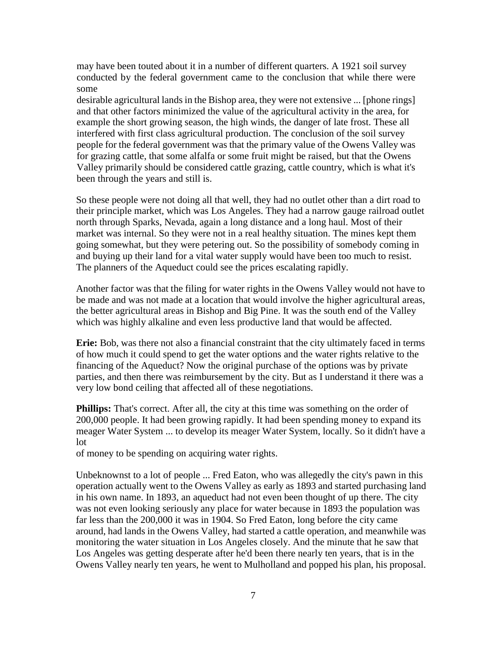may have been touted about it in a number of different quarters. A 1921 soil survey conducted by the federal government came to the conclusion that while there were some

desirable agricultural lands in the Bishop area, they were not extensive ... [phone rings] and that other factors minimized the value of the agricultural activity in the area, for example the short growing season, the high winds, the danger of late frost. These all interfered with first class agricultural production. The conclusion of the soil survey people for the federal government was that the primary value of the Owens Valley was for grazing cattle, that some alfalfa or some fruit might be raised, but that the Owens Valley primarily should be considered cattle grazing, cattle country, which is what it's been through the years and still is.

So these people were not doing all that well, they had no outlet other than a dirt road to their principle market, which was Los Angeles. They had a narrow gauge railroad outlet north through Sparks, Nevada, again a long distance and a long haul. Most of their market was internal. So they were not in a real healthy situation. The mines kept them going somewhat, but they were petering out. So the possibility of somebody coming in and buying up their land for a vital water supply would have been too much to resist. The planners of the Aqueduct could see the prices escalating rapidly.

Another factor was that the filing for water rights in the Owens Valley would not have to be made and was not made at a location that would involve the higher agricultural areas, the better agricultural areas in Bishop and Big Pine. It was the south end of the Valley which was highly alkaline and even less productive land that would be affected.

**Erie:** Bob, was there not also a financial constraint that the city ultimately faced in terms of how much it could spend to get the water options and the water rights relative to the financing of the Aqueduct? Now the original purchase of the options was by private parties, and then there was reimbursement by the city. But as I understand it there was a very low bond ceiling that affected all of these negotiations.

**Phillips:** That's correct. After all, the city at this time was something on the order of 200,000 people. It had been growing rapidly. It had been spending money to expand its meager Water System ... to develop its meager Water System, locally. So it didn't have a lot

of money to be spending on acquiring water rights.

Unbeknownst to a lot of people ... Fred Eaton, who was allegedly the city's pawn in this operation actually went to the Owens Valley as early as 1893 and started purchasing land in his own name. In 1893, an aqueduct had not even been thought of up there. The city was not even looking seriously any place for water because in 1893 the population was far less than the 200,000 it was in 1904. So Fred Eaton, long before the city came around, had lands in the Owens Valley, had started a cattle operation, and meanwhile was monitoring the water situation in Los Angeles closely. And the minute that he saw that Los Angeles was getting desperate after he'd been there nearly ten years, that is in the Owens Valley nearly ten years, he went to Mulholland and popped his plan, his proposal.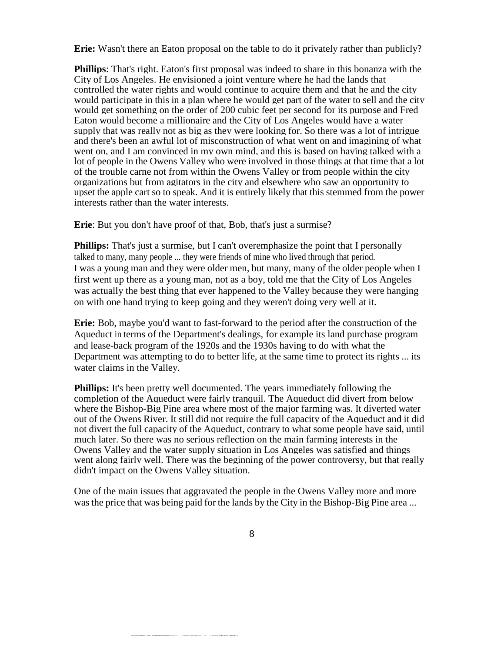**Erie:** Wasn't there an Eaton proposal on the table to do it privately rather than publicly?

**Phillips**: That's right. Eaton's first proposal was indeed to share in this bonanza with the City of Los Angeles. He envisioned a joint venture where he had the lands that controlled the water rights and would continue to acquire them and that he and the city would participate in this in a plan where he would get part of the water to sell and the city would get something on the order of 200 cubic feet per second for its purpose and Fred Eaton would become a millionaire and the City of Los Angeles would have a water supply that was really not as big as they were looking for. So there was a lot of intrigue and there's been an awful lot of misconstruction of what went on and imagining of what went on, and I am convinced in my own mind, and this is based on having talked with a lot of people in the Owens Valley who were involved in those things at that time that a lot of the trouble carne not from within the Owens Valley or from people within the city organizations but from agitators in the city and elsewhere who saw an opportunity to upset the apple cart so to speak. And it is entirely likely that this stemmed from the power interests rather than the water interests.

**Erie**: But you don't have proof of that, Bob, that's just a surmise?

**Phillips:** That's just a surmise, but I can't overemphasize the point that I personally talked to many, many people ... they were friends of mine who lived through that period. I was a young man and they were older men, but many, many of the older people when I first went up there as a young man, not as a boy, told me that the City of Los Angeles was actually the best thing that ever happened to the Valley because they were hanging on with one hand trying to keep going and they weren't doing very well at it.

**Erie:** Bob, maybe you'd want to fast-forward to the period after the construction of the Aqueduct in terms of the Department's dealings, for example its land purchase program and lease-back program of the 1920s and the 1930s having to do with what the Department was attempting to do to better life, at the same time to protect its rights ... its water claims in the Valley.

**Phillips:** It's been pretty well documented. The years immediately following the completion of the Aqueduct were fairly tranquil. The Aqueduct did divert from below where the Bishop-Big Pine area where most of the major farming was. It diverted water out of the Owens River. It still did not require the full capacity of the Aqueduct and it did not divert the full capacity of the Aqueduct, contrary to what some people have said, until much later. So there was no serious reflection on the main farming interests in the Owens Valley and the water supply situation in Los Angeles was satisfied and things went along fairly well. There was the beginning of the power controversy, but that really didn't impact on the Owens Valley situation.

One of the main issues that aggravated the people in the Owens Valley more and more was the price that was being paid for the lands by the City in the Bishop-Big Pine area ...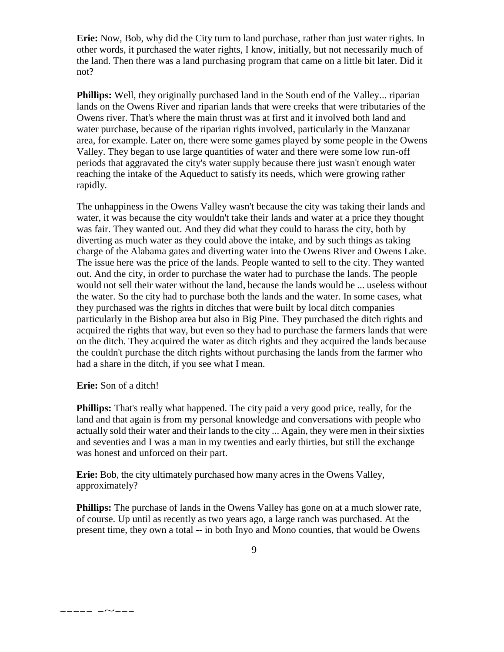**Erie:** Now, Bob, why did the City turn to land purchase, rather than just water rights. In other words, it purchased the water rights, I know, initially, but not necessarily much of the land. Then there was a land purchasing program that came on a little bit later. Did it not?

**Phillips:** Well, they originally purchased land in the South end of the Valley... riparian lands on the Owens River and riparian lands that were creeks that were tributaries of the Owens river. That's where the main thrust was at first and it involved both land and water purchase, because of the riparian rights involved, particularly in the Manzanar area, for example. Later on, there were some games played by some people in the Owens Valley. They began to use large quantities of water and there were some low run-off periods that aggravated the city's water supply because there just wasn't enough water reaching the intake of the Aqueduct to satisfy its needs, which were growing rather rapidly.

The unhappiness in the Owens Valley wasn't because the city was taking their lands and water, it was because the city wouldn't take their lands and water at a price they thought was fair. They wanted out. And they did what they could to harass the city, both by diverting as much water as they could above the intake, and by such things as taking charge of the Alabama gates and diverting water into the Owens River and Owens Lake. The issue here was the price of the lands. People wanted to sell to the city. They wanted out. And the city, in order to purchase the water had to purchase the lands. The people would not sell their water without the land, because the lands would be ... useless without the water. So the city had to purchase both the lands and the water. In some cases, what they purchased was the rights in ditches that were built by local ditch companies particularly in the Bishop area but also in Big Pine. They purchased the ditch rights and acquired the rights that way, but even so they had to purchase the farmers lands that were on the ditch. They acquired the water as ditch rights and they acquired the lands because the couldn't purchase the ditch rights without purchasing the lands from the farmer who had a share in the ditch, if you see what I mean.

## **Erie:** Son of a ditch!

----- -~---

**Phillips:** That's really what happened. The city paid a very good price, really, for the land and that again is from my personal knowledge and conversations with people who actually sold their water and their lands to the city ... Again, they were men in their sixties and seventies and I was a man in my twenties and early thirties, but still the exchange was honest and unforced on their part.

**Erie:** Bob, the city ultimately purchased how many acres in the Owens Valley, approximately?

**Phillips:** The purchase of lands in the Owens Valley has gone on at a much slower rate, of course. Up until as recently as two years ago, a large ranch was purchased. At the present time, they own a total -- in both Inyo and Mono counties, that would be Owens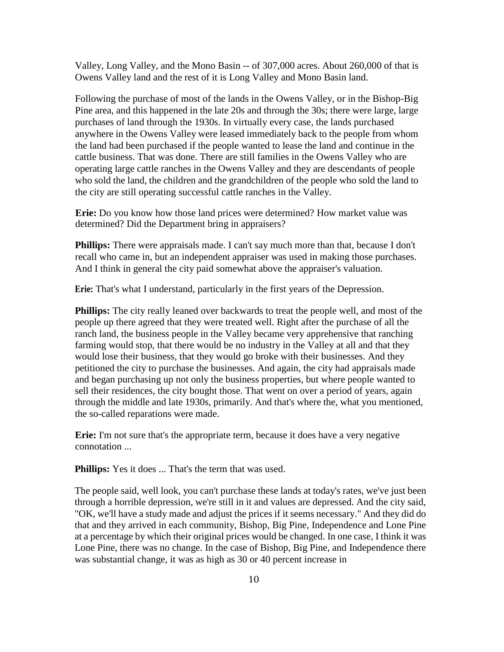Valley, Long Valley, and the Mono Basin -- of 307,000 acres. About 260,000 of that is Owens Valley land and the rest of it is Long Valley and Mono Basin land.

Following the purchase of most of the lands in the Owens Valley, or in the Bishop-Big Pine area, and this happened in the late 20s and through the 30s; there were large, large purchases of land through the 1930s. In virtually every case, the lands purchased anywhere in the Owens Valley were leased immediately back to the people from whom the land had been purchased if the people wanted to lease the land and continue in the cattle business. That was done. There are still families in the Owens Valley who are operating large cattle ranches in the Owens Valley and they are descendants of people who sold the land, the children and the grandchildren of the people who sold the land to the city are still operating successful cattle ranches in the Valley.

**Erie:** Do you know how those land prices were determined? How market value was determined? Did the Department bring in appraisers?

**Phillips:** There were appraisals made. I can't say much more than that, because I don't recall who came in, but an independent appraiser was used in making those purchases. And I think in general the city paid somewhat above the appraiser's valuation.

**Erie:** That's what I understand, particularly in the first years of the Depression.

**Phillips:** The city really leaned over backwards to treat the people well, and most of the people up there agreed that they were treated well. Right after the purchase of all the ranch land, the business people in the Valley became very apprehensive that ranching farming would stop, that there would be no industry in the Valley at all and that they would lose their business, that they would go broke with their businesses. And they petitioned the city to purchase the businesses. And again, the city had appraisals made and began purchasing up not only the business properties, but where people wanted to sell their residences, the city bought those. That went on over a period of years, again through the middle and late 1930s, primarily. And that's where the, what you mentioned, the so-called reparations were made.

**Erie:** I'm not sure that's the appropriate term, because it does have a very negative connotation ...

Phillips: Yes it does ... That's the term that was used.

The people said, well look, you can't purchase these lands at today's rates, we've just been through a horrible depression, we're still in it and values are depressed. And the city said, "OK, we'll have a study made and adjust the prices if it seems necessary." And they did do that and they arrived in each community, Bishop, Big Pine, Independence and Lone Pine at a percentage by which their original prices would be changed. In one case, I think it was Lone Pine, there was no change. In the case of Bishop, Big Pine, and Independence there was substantial change, it was as high as 30 or 40 percent increase in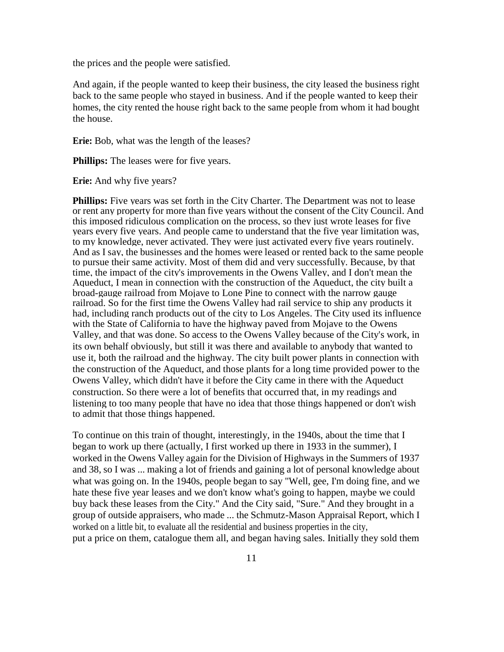the prices and the people were satisfied.

And again, if the people wanted to keep their business, the city leased the business right back to the same people who stayed in business. And if the people wanted to keep their homes, the city rented the house right back to the same people from whom it had bought the house.

**Erie:** Bob, what was the length of the leases?

**Phillips:** The leases were for five years.

**Erie:** And why five years?

**Phillips:** Five years was set forth in the City Charter. The Department was not to lease or rent any property for more than five years without the consent of the City Council. And this imposed ridiculous complication on the process, so they just wrote leases for five years every five years. And people came to understand that the five year limitation was, to my knowledge, never activated. They were just activated every five years routinely. And as I say, the businesses and the homes were leased or rented back to the same people to pursue their same activity. Most of them did and very successfully. Because, by that time, the impact of the city's improvements in the Owens Valley, and I don't mean the Aqueduct, I mean in connection with the construction of the Aqueduct, the city built a broad-gauge railroad from Mojave to Lone Pine to connect with the narrow gauge railroad. So for the first time the Owens Valley had rail service to ship any products it had, including ranch products out of the city to Los Angeles. The City used its influence with the State of California to have the highway paved from Mojave to the Owens Valley, and that was done. So access to the Owens Valley because of the City's work, in its own behalf obviously, but still it was there and available to anybody that wanted to use it, both the railroad and the highway. The city built power plants in connection with the construction of the Aqueduct, and those plants for a long time provided power to the Owens Valley, which didn't have it before the City came in there with the Aqueduct construction. So there were a lot of benefits that occurred that, in my readings and listening to too many people that have no idea that those things happened or don't wish to admit that those things happened.

To continue on this train of thought, interestingly, in the 1940s, about the time that I began to work up there (actually, I first worked up there in 1933 in the summer), I worked in the Owens Valley again for the Division of Highways in the Summers of 1937 and 38, so I was ... making a lot of friends and gaining a lot of personal knowledge about what was going on. In the 1940s, people began to say "Well, gee, I'm doing fine, and we hate these five year leases and we don't know what's going to happen, maybe we could buy back these leases from the City." And the City said, "Sure." And they brought in a group of outside appraisers, who made ... the Schmutz-Mason Appraisal Report, which I worked on a little bit, to evaluate all the residential and business properties in the city, put a price on them, catalogue them all, and began having sales. Initially they sold them